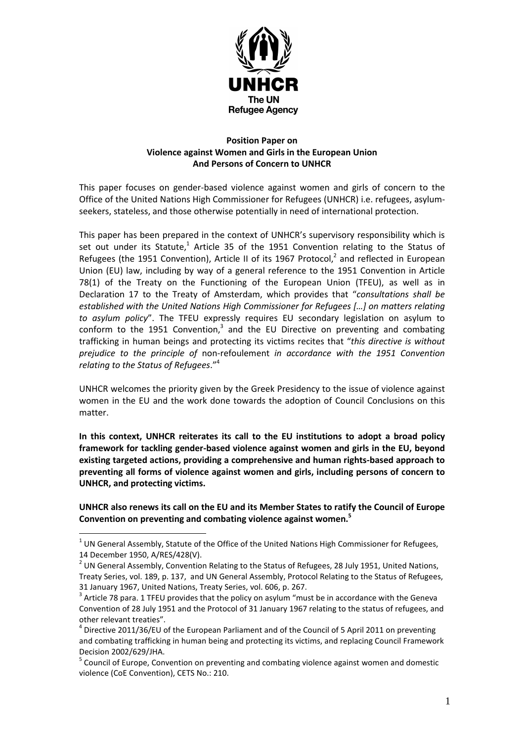

## Position Paper on Violence against Women and Girls in the European Union And Persons of Concern to UNHCR

This paper focuses on gender-based violence against women and girls of concern to the Office of the United Nations High Commissioner for Refugees (UNHCR) i.e. refugees, asylumseekers, stateless, and those otherwise potentially in need of international protection.

This paper has been prepared in the context of UNHCR's supervisory responsibility which is set out under its Statute,<sup>1</sup> Article 35 of the 1951 Convention relating to the Status of Refugees (the 1951 Convention), Article II of its 1967 Protocol, $^2$  and reflected in European Union (EU) law, including by way of a general reference to the 1951 Convention in Article 78(1) of the Treaty on the Functioning of the European Union (TFEU), as well as in Declaration 17 to the Treaty of Amsterdam, which provides that "consultations shall be established with the United Nations High Commissioner for Refugees […] on matters relating to asylum policy". The TFEU expressly requires EU secondary legislation on asylum to conform to the 1951 Convention,<sup>3</sup> and the EU Directive on preventing and combating trafficking in human beings and protecting its victims recites that "this directive is without prejudice to the principle of non-refoulement in accordance with the 1951 Convention relating to the Status of Refugees."<sup>4</sup>

UNHCR welcomes the priority given by the Greek Presidency to the issue of violence against women in the EU and the work done towards the adoption of Council Conclusions on this matter.

In this context, UNHCR reiterates its call to the EU institutions to adopt a broad policy framework for tackling gender-based violence against women and girls in the EU, beyond existing targeted actions, providing a comprehensive and human rights-based approach to preventing all forms of violence against women and girls, including persons of concern to UNHCR, and protecting victims.

UNHCR also renews its call on the EU and its Member States to ratify the Council of Europe Convention on preventing and combating violence against women.<sup>5</sup>

 $1$  UN General Assembly, Statute of the Office of the United Nations High Commissioner for Refugees, 14 December 1950, A/RES/428(V).

<sup>&</sup>lt;sup>2</sup> UN General Assembly, Convention Relating to the Status of Refugees, 28 July 1951, United Nations, Treaty Series, vol. 189, p. 137, and UN General Assembly, Protocol Relating to the Status of Refugees, 31 January 1967, United Nations, Treaty Series, vol. 606, p. 267.

 $3$  Article 78 para. 1 TFEU provides that the policy on asylum "must be in accordance with the Geneva Convention of 28 July 1951 and the Protocol of 31 January 1967 relating to the status of refugees, and other relevant treaties".

 $<sup>4</sup>$  Directive 2011/36/EU of the European Parliament and of the Council of 5 April 2011 on preventing</sup> and combating trafficking in human being and protecting its victims, and replacing Council Framework Decision 2002/629/JHA.

<sup>&</sup>lt;sup>5</sup> Council of Europe, Convention on preventing and combating violence against women and domestic violence (CoE Convention), CETS No.: 210.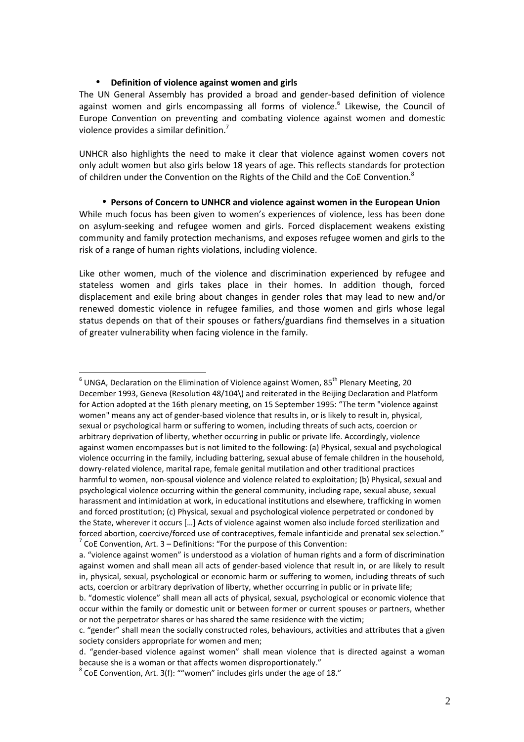## • Definition of violence against women and girls

 $\overline{a}$ 

The UN General Assembly has provided a broad and gender-based definition of violence against women and girls encompassing all forms of violence.<sup>6</sup> Likewise, the Council of Europe Convention on preventing and combating violence against women and domestic violence provides a similar definition.<sup>7</sup>

UNHCR also highlights the need to make it clear that violence against women covers not only adult women but also girls below 18 years of age. This reflects standards for protection of children under the Convention on the Rights of the Child and the CoE Convention.<sup>8</sup>

• Persons of Concern to UNHCR and violence against women in the European Union While much focus has been given to women's experiences of violence, less has been done on asylum-seeking and refugee women and girls. Forced displacement weakens existing community and family protection mechanisms, and exposes refugee women and girls to the risk of a range of human rights violations, including violence.

Like other women, much of the violence and discrimination experienced by refugee and stateless women and girls takes place in their homes. In addition though, forced displacement and exile bring about changes in gender roles that may lead to new and/or renewed domestic violence in refugee families, and those women and girls whose legal status depends on that of their spouses or fathers/guardians find themselves in a situation of greater vulnerability when facing violence in the family.

 $^6$  UNGA, Declaration on the Elimination of Violence against Women, 85<sup>th</sup> Plenary Meeting, 20 December 1993, Geneva (Resolution 48/104\) and reiterated in the Beijing Declaration and Platform for Action adopted at the 16th plenary meeting, on 15 September 1995: "The term "violence against women" means any act of gender-based violence that results in, or is likely to result in, physical, sexual or psychological harm or suffering to women, including threats of such acts, coercion or arbitrary deprivation of liberty, whether occurring in public or private life. Accordingly, violence against women encompasses but is not limited to the following: (a) Physical, sexual and psychological violence occurring in the family, including battering, sexual abuse of female children in the household, dowry-related violence, marital rape, female genital mutilation and other traditional practices harmful to women, non-spousal violence and violence related to exploitation; (b) Physical, sexual and psychological violence occurring within the general community, including rape, sexual abuse, sexual harassment and intimidation at work, in educational institutions and elsewhere, trafficking in women and forced prostitution; (c) Physical, sexual and psychological violence perpetrated or condoned by the State, wherever it occurs […] Acts of violence against women also include forced sterilization and forced abortion, coercive/forced use of contraceptives, female infanticide and prenatal sex selection."  $7$  CoE Convention, Art. 3 – Definitions: "For the purpose of this Convention:

a. "violence against women" is understood as a violation of human rights and a form of discrimination against women and shall mean all acts of gender-based violence that result in, or are likely to result in, physical, sexual, psychological or economic harm or suffering to women, including threats of such acts, coercion or arbitrary deprivation of liberty, whether occurring in public or in private life;

b. "domestic violence" shall mean all acts of physical, sexual, psychological or economic violence that occur within the family or domestic unit or between former or current spouses or partners, whether or not the perpetrator shares or has shared the same residence with the victim;

c. "gender" shall mean the socially constructed roles, behaviours, activities and attributes that a given society considers appropriate for women and men;

d. "gender-based violence against women" shall mean violence that is directed against a woman because she is a woman or that affects women disproportionately."

 $^8$  CoE Convention, Art. 3(f): ""women" includes girls under the age of 18."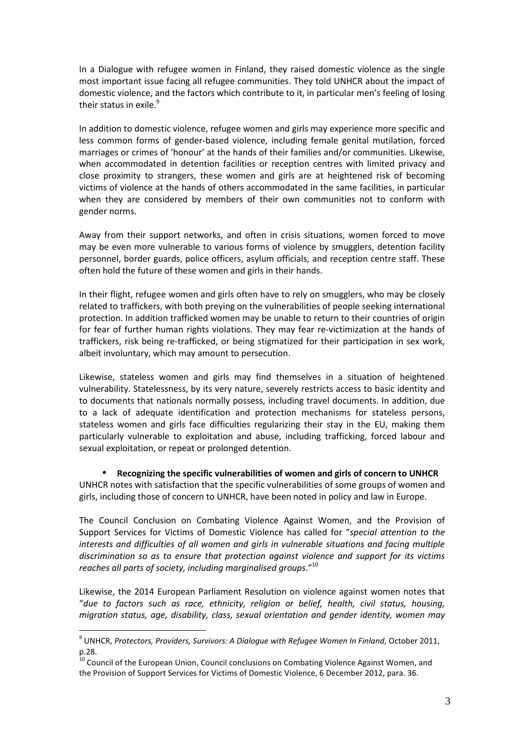In a Dialogue with refugee women in Finland, they raised domestic violence as the single most important issue facing all refugee communities. They told UNHCR about the impact of domestic violence, and the factors which contribute to it, in particular men's feeling of losing their status in exile. $9$ 

In addition to domestic violence, refugee women and girls may experience more specific and less common forms of gender-based violence, including female genital mutilation, forced marriages or crimes of 'honour' at the hands of their families and/or communities. Likewise, when accommodated in detention facilities or reception centres with limited privacy and close proximity to strangers, these women and girls are at heightened risk of becoming victims of violence at the hands of others accommodated in the same facilities, in particular when they are considered by members of their own communities not to conform with gender norms.

Away from their support networks, and often in crisis situations, women forced to move may be even more vulnerable to various forms of violence by smugglers, detention facility personnel, border guards, police officers, asylum officials, and reception centre staff. These often hold the future of these women and girls in their hands.

In their flight, refugee women and girls often have to rely on smugglers, who may be closely related to traffickers, with both preying on the vulnerabilities of people seeking international protection. In addition trafficked women may be unable to return to their countries of origin for fear of further human rights violations. They may fear re-victimization at the hands of traffickers, risk being re-trafficked, or being stigmatized for their participation in sex work, albeit involuntary, which may amount to persecution.

Likewise, stateless women and girls may find themselves in a situation of heightened vulnerability. Statelessness, by its very nature, severely restricts access to basic identity and to documents that nationals normally possess, including travel documents. In addition, due to a lack of adequate identification and protection mechanisms for stateless persons, stateless women and girls face difficulties regularizing their stay in the EU, making them particularly vulnerable to exploitation and abuse, including trafficking, forced labour and sexual exploitation, or repeat or prolonged detention.

• Recognizing the specific vulnerabilities of women and girls of concern to UNHCR UNHCR notes with satisfaction that the specific vulnerabilities of some groups of women and girls, including those of concern to UNHCR, have been noted in policy and law in Europe.

The Council Conclusion on Combating Violence Against Women, and the Provision of Support Services for Victims of Domestic Violence has called for "special attention to the interests and difficulties of all women and girls in vulnerable situations and facing multiple discrimination so as to ensure that protection against violence and support for its victims reaches all parts of society, including marginalised groups."<sup>10</sup>

Likewise, the 2014 European Parliament Resolution on violence against women notes that "due to factors such as race, ethnicity, religion or belief, health, civil status, housing, migration status, age, disability, class, sexual orientation and gender identity, women may

 $^9$  UNHCR, Protectors, Providers, Survivors: A Dialogue with Refugee Women In Finland, October 2011,  $p.28.$ 

<sup>10</sup> Council of the European Union, Council conclusions on Combating Violence Against Women, and the Provision of Support Services for Victims of Domestic Violence, 6 December 2012, para. 36.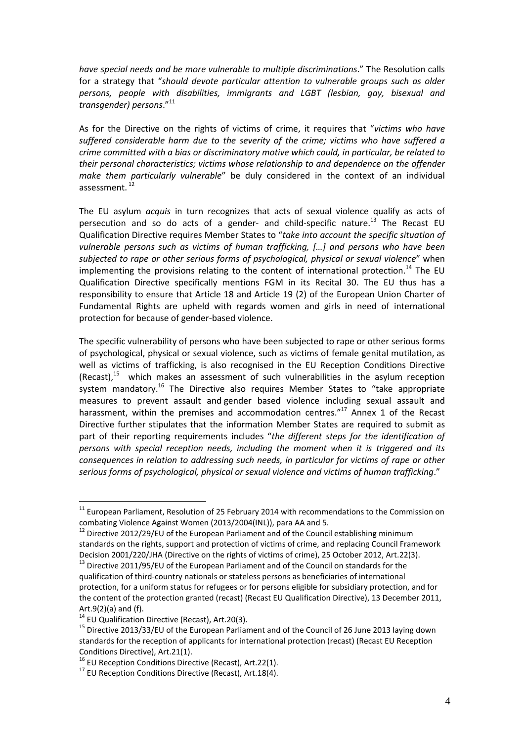have special needs and be more vulnerable to multiple discriminations." The Resolution calls for a strategy that "should devote particular attention to vulnerable groups such as older persons, people with disabilities, immigrants and LGBT (lesbian, gay, bisexual and transgender) persons."<sup>11</sup>

As for the Directive on the rights of victims of crime, it requires that "victims who have suffered considerable harm due to the severity of the crime; victims who have suffered a crime committed with a bias or discriminatory motive which could, in particular, be related to their personal characteristics; victims whose relationship to and dependence on the offender make them particularly vulnerable" be duly considered in the context of an individual assessment.<sup>12</sup>

The EU asylum *acquis* in turn recognizes that acts of sexual violence qualify as acts of persecution and so do acts of a gender- and child-specific nature.<sup>13</sup> The Recast EU Qualification Directive requires Member States to "take into account the specific situation of vulnerable persons such as victims of human trafficking, […] and persons who have been subjected to rape or other serious forms of psychological, physical or sexual violence" when implementing the provisions relating to the content of international protection.<sup>14</sup> The EU Qualification Directive specifically mentions FGM in its Recital 30. The EU thus has a responsibility to ensure that Article 18 and Article 19 (2) of the European Union Charter of Fundamental Rights are upheld with regards women and girls in need of international protection for because of gender-based violence.

The specific vulnerability of persons who have been subjected to rape or other serious forms of psychological, physical or sexual violence, such as victims of female genital mutilation, as well as victims of trafficking, is also recognised in the EU Reception Conditions Directive  $(Recast)<sup>15</sup>$  which makes an assessment of such vulnerabilities in the asylum reception system mandatory.<sup>16</sup> The Directive also requires Member States to "take appropriate measures to prevent assault and gender based violence including sexual assault and harassment, within the premises and accommodation centres."<sup>17</sup> Annex 1 of the Recast Directive further stipulates that the information Member States are required to submit as part of their reporting requirements includes "the different steps for the identification of persons with special reception needs, including the moment when it is triggered and its consequences in relation to addressing such needs, in particular for victims of rape or other serious forms of psychological, physical or sexual violence and victims of human trafficking."

 $11$  European Parliament, Resolution of 25 February 2014 with recommendations to the Commission on combating Violence Against Women (2013/2004(INL)), para AA and 5.

 $12$  Directive 2012/29/EU of the European Parliament and of the Council establishing minimum standards on the rights, support and protection of victims of crime, and replacing Council Framework Decision 2001/220/JHA (Directive on the rights of victims of crime), 25 October 2012, Art.22(3).

<sup>&</sup>lt;sup>13</sup> Directive 2011/95/EU of the European Parliament and of the Council on standards for the qualification of third-country nationals or stateless persons as beneficiaries of international protection, for a uniform status for refugees or for persons eligible for subsidiary protection, and for the content of the protection granted (recast) (Recast EU Qualification Directive), 13 December 2011, Art.9(2)(a) and (f).

 $14$  EU Qualification Directive (Recast), Art.20(3).

<sup>&</sup>lt;sup>15</sup> Directive 2013/33/EU of the European Parliament and of the Council of 26 June 2013 laying down standards for the reception of applicants for international protection (recast) (Recast EU Reception Conditions Directive), Art.21(1).

<sup>&</sup>lt;sup>16</sup> EU Reception Conditions Directive (Recast), Art.22(1).

 $17$  EU Reception Conditions Directive (Recast), Art. 18(4).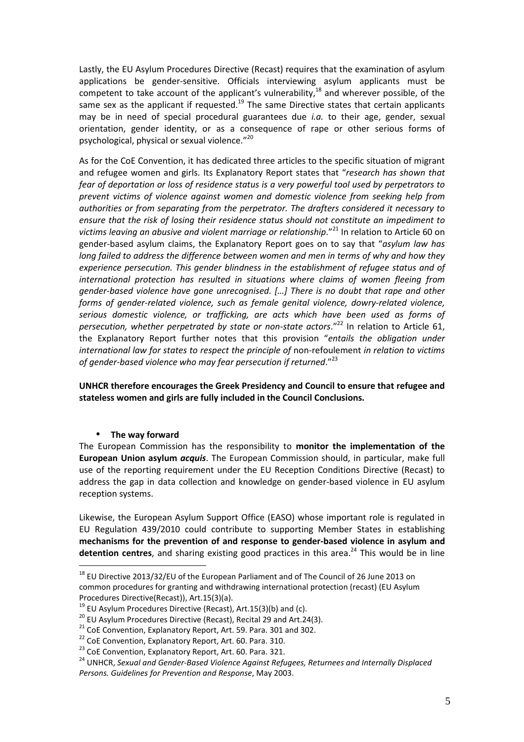Lastly, the EU Asylum Procedures Directive (Recast) requires that the examination of asylum applications be gender-sensitive. Officials interviewing asylum applicants must be competent to take account of the applicant's vulnerability,<sup>18</sup> and wherever possible, of the same sex as the applicant if requested.<sup>19</sup> The same Directive states that certain applicants may be in need of special procedural guarantees due i.a. to their age, gender, sexual orientation, gender identity, or as a consequence of rape or other serious forms of psychological, physical or sexual violence."<sup>20</sup>

As for the CoE Convention, it has dedicated three articles to the specific situation of migrant and refugee women and girls. Its Explanatory Report states that "research has shown that fear of deportation or loss of residence status is a very powerful tool used by perpetrators to prevent victims of violence against women and domestic violence from seeking help from authorities or from separating from the perpetrator. The drafters considered it necessary to ensure that the risk of losing their residence status should not constitute an impediment to victims leaving an abusive and violent marriage or relationship."<sup>21</sup> In relation to Article 60 on gender-based asylum claims, the Explanatory Report goes on to say that "asylum law has long failed to address the difference between women and men in terms of why and how they experience persecution. This gender blindness in the establishment of refugee status and of international protection has resulted in situations where claims of women fleeing from gender-based violence have gone unrecognised. […] There is no doubt that rape and other forms of gender-related violence, such as female genital violence, dowry-related violence, serious domestic violence, or trafficking, are acts which have been used as forms of persecution, whether perpetrated by state or non-state actors." $^{22}$  In relation to Article 61, the Explanatory Report further notes that this provision "entails the obligation under international law for states to respect the principle of non-refoulement in relation to victims of gender-based violence who may fear persecution if returned." $^{23}$ 

UNHCR therefore encourages the Greek Presidency and Council to ensure that refugee and stateless women and girls are fully included in the Council Conclusions.

## • The way forward

 $\overline{a}$ 

The European Commission has the responsibility to monitor the implementation of the European Union asylum *acquis*. The European Commission should, in particular, make full use of the reporting requirement under the EU Reception Conditions Directive (Recast) to address the gap in data collection and knowledge on gender-based violence in EU asylum reception systems.

Likewise, the European Asylum Support Office (EASO) whose important role is regulated in EU Regulation 439/2010 could contribute to supporting Member States in establishing mechanisms for the prevention of and response to gender-based violence in asylum and detention centres, and sharing existing good practices in this area.<sup>24</sup> This would be in line

 $^{18}$  EU Directive 2013/32/EU of the European Parliament and of The Council of 26 June 2013 on common procedures for granting and withdrawing international protection (recast) (EU Asylum Procedures Directive(Recast)), Art.15(3)(a).

 $19$  EU Asylum Procedures Directive (Recast), Art.15(3)(b) and (c).

<sup>&</sup>lt;sup>20</sup> EU Asylum Procedures Directive (Recast), Recital 29 and Art.24(3).

 $21$  CoE Convention, Explanatory Report, Art. 59. Para. 301 and 302.

<sup>&</sup>lt;sup>22</sup> CoE Convention, Explanatory Report, Art. 60. Para. 310.

<sup>&</sup>lt;sup>23</sup> CoE Convention, Explanatory Report, Art. 60. Para. 321.

<sup>&</sup>lt;sup>24</sup> UNHCR, Sexual and Gender-Based Violence Against Refugees, Returnees and Internally Displaced Persons. Guidelines for Prevention and Response, May 2003.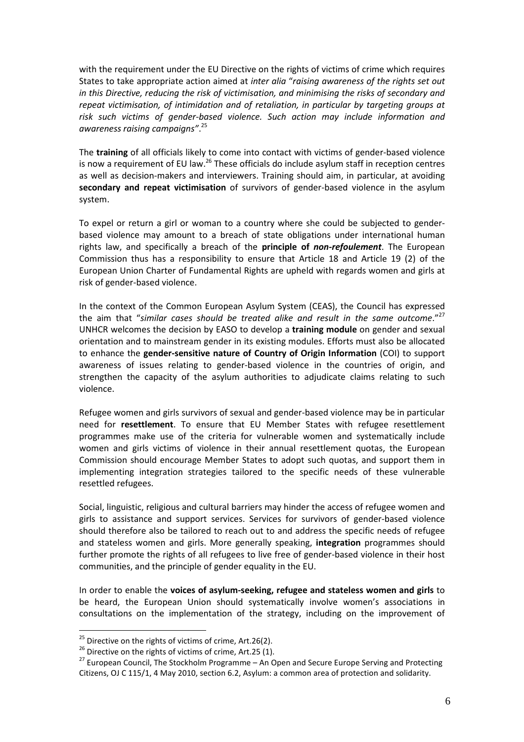with the requirement under the EU Directive on the rights of victims of crime which requires States to take appropriate action aimed at inter alia "raising awareness of the rights set out in this Directive, reducing the risk of victimisation, and minimising the risks of secondary and repeat victimisation, of intimidation and of retaliation, in particular by targeting groups at risk such victims of gender-based violence. Such action may include information and awareness raising campaigns".<sup>25</sup>

The training of all officials likely to come into contact with victims of gender-based violence is now a requirement of EU law.<sup>26</sup> These officials do include asylum staff in reception centres as well as decision-makers and interviewers. Training should aim, in particular, at avoiding secondary and repeat victimisation of survivors of gender-based violence in the asylum system.

To expel or return a girl or woman to a country where she could be subjected to genderbased violence may amount to a breach of state obligations under international human rights law, and specifically a breach of the **principle of non-refoulement**. The European Commission thus has a responsibility to ensure that Article 18 and Article 19 (2) of the European Union Charter of Fundamental Rights are upheld with regards women and girls at risk of gender-based violence.

In the context of the Common European Asylum System (CEAS), the Council has expressed the aim that "similar cases should be treated alike and result in the same outcome." $^{27}$ UNHCR welcomes the decision by EASO to develop a training module on gender and sexual orientation and to mainstream gender in its existing modules. Efforts must also be allocated to enhance the gender-sensitive nature of Country of Origin Information (COI) to support awareness of issues relating to gender-based violence in the countries of origin, and strengthen the capacity of the asylum authorities to adjudicate claims relating to such violence.

Refugee women and girls survivors of sexual and gender-based violence may be in particular need for resettlement. To ensure that EU Member States with refugee resettlement programmes make use of the criteria for vulnerable women and systematically include women and girls victims of violence in their annual resettlement quotas, the European Commission should encourage Member States to adopt such quotas, and support them in implementing integration strategies tailored to the specific needs of these vulnerable resettled refugees.

Social, linguistic, religious and cultural barriers may hinder the access of refugee women and girls to assistance and support services. Services for survivors of gender-based violence should therefore also be tailored to reach out to and address the specific needs of refugee and stateless women and girls. More generally speaking, integration programmes should further promote the rights of all refugees to live free of gender-based violence in their host communities, and the principle of gender equality in the EU.

In order to enable the voices of asylum-seeking, refugee and stateless women and girls to be heard, the European Union should systematically involve women's associations in consultations on the implementation of the strategy, including on the improvement of

 $25$  Directive on the rights of victims of crime, Art.26(2).

 $26$  Directive on the rights of victims of crime, Art.25 (1).

 $27$  European Council, The Stockholm Programme – An Open and Secure Europe Serving and Protecting Citizens, OJ C 115/1, 4 May 2010, section 6.2, Asylum: a common area of protection and solidarity.